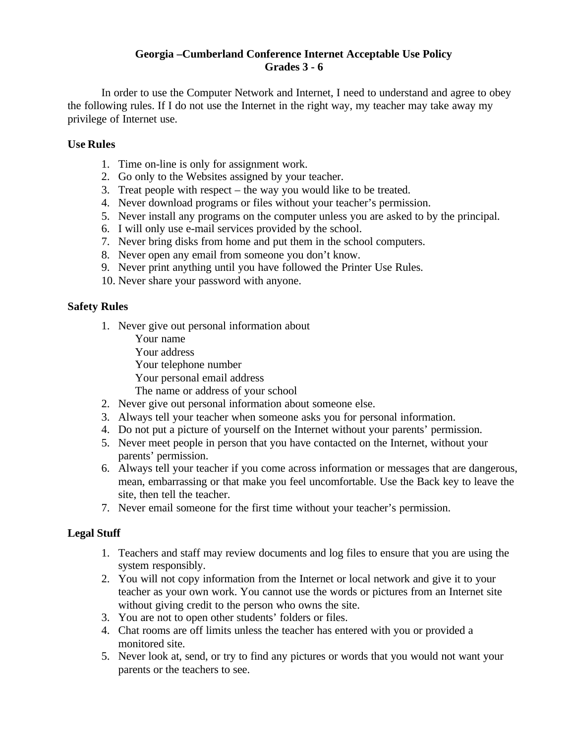## **Georgia –Cumberland Conference Internet Acceptable Use Policy Grades 3 - 6**

In order to use the Computer Network and Internet, I need to understand and agree to obey the following rules. If I do not use the Internet in the right way, my teacher may take away my privilege of Internet use.

# **Use Rules**

- 1. Time on-line is only for assignment work.
- 2. Go only to the Websites assigned by your teacher.
- 3. Treat people with respect the way you would like to be treated.
- 4. Never download programs or files without your teacher's permission.
- 5. Never install any programs on the computer unless you are asked to by the principal.
- 6. I will only use e-mail services provided by the school.
- 7. Never bring disks from home and put them in the school computers.
- 8. Never open any email from someone you don't know.
- 9. Never print anything until you have followed the Printer Use Rules.
- 10. Never share your password with anyone.

## **Safety Rules**

- 1. Never give out personal information about
	- Your name
	- Your address
	- Your telephone number
	- Your personal email address
	- The name or address of your school
- 2. Never give out personal information about someone else.
- 3. Always tell your teacher when someone asks you for personal information.
- 4. Do not put a picture of yourself on the Internet without your parents' permission.
- 5. Never meet people in person that you have contacted on the Internet, without your parents' permission.
- 6. Always tell your teacher if you come across information or messages that are dangerous, mean, embarrassing or that make you feel uncomfortable. Use the Back key to leave the site, then tell the teacher.
- 7. Never email someone for the first time without your teacher's permission.

# **Legal Stuff**

- 1. Teachers and staff may review documents and log files to ensure that you are using the system responsibly.
- 2. You will not copy information from the Internet or local network and give it to your teacher as your own work. You cannot use the words or pictures from an Internet site without giving credit to the person who owns the site.
- 3. You are not to open other students' folders or files.
- 4. Chat rooms are off limits unless the teacher has entered with you or provided a monitored site.
- 5. Never look at, send, or try to find any pictures or words that you would not want your parents or the teachers to see.